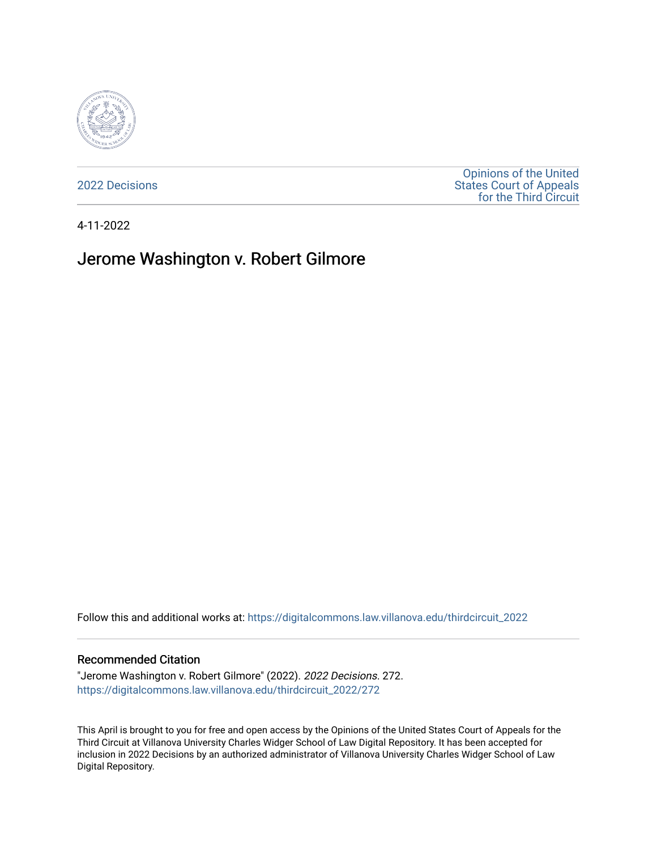

[2022 Decisions](https://digitalcommons.law.villanova.edu/thirdcircuit_2022)

[Opinions of the United](https://digitalcommons.law.villanova.edu/thirdcircuit)  [States Court of Appeals](https://digitalcommons.law.villanova.edu/thirdcircuit)  [for the Third Circuit](https://digitalcommons.law.villanova.edu/thirdcircuit) 

4-11-2022

# Jerome Washington v. Robert Gilmore

Follow this and additional works at: [https://digitalcommons.law.villanova.edu/thirdcircuit\\_2022](https://digitalcommons.law.villanova.edu/thirdcircuit_2022?utm_source=digitalcommons.law.villanova.edu%2Fthirdcircuit_2022%2F272&utm_medium=PDF&utm_campaign=PDFCoverPages) 

#### Recommended Citation

"Jerome Washington v. Robert Gilmore" (2022). 2022 Decisions. 272. [https://digitalcommons.law.villanova.edu/thirdcircuit\\_2022/272](https://digitalcommons.law.villanova.edu/thirdcircuit_2022/272?utm_source=digitalcommons.law.villanova.edu%2Fthirdcircuit_2022%2F272&utm_medium=PDF&utm_campaign=PDFCoverPages)

This April is brought to you for free and open access by the Opinions of the United States Court of Appeals for the Third Circuit at Villanova University Charles Widger School of Law Digital Repository. It has been accepted for inclusion in 2022 Decisions by an authorized administrator of Villanova University Charles Widger School of Law Digital Repository.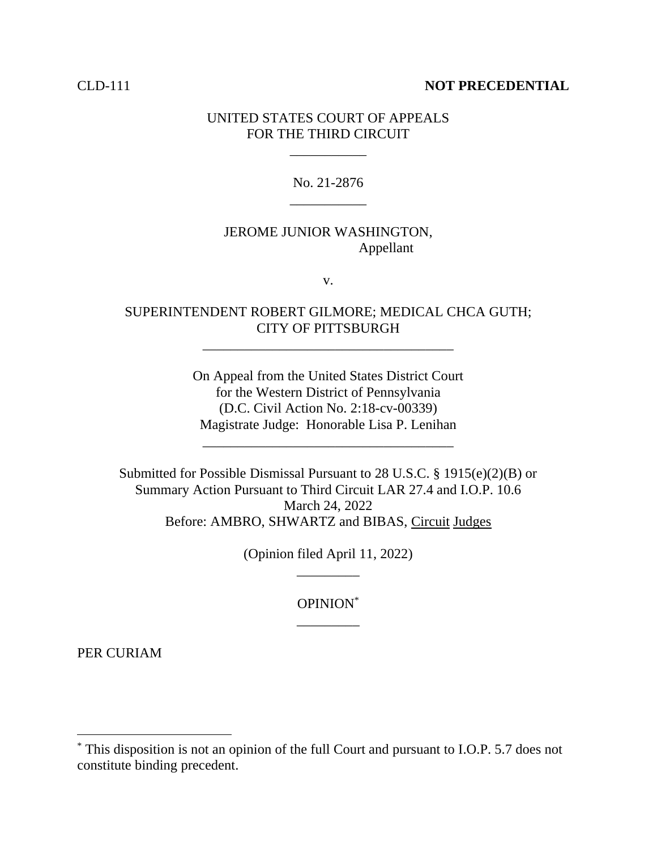### CLD-111 **NOT PRECEDENTIAL**

### UNITED STATES COURT OF APPEALS FOR THE THIRD CIRCUIT

\_\_\_\_\_\_\_\_\_\_\_

No. 21-2876 \_\_\_\_\_\_\_\_\_\_\_

## JEROME JUNIOR WASHINGTON, Appellant

v.

# SUPERINTENDENT ROBERT GILMORE; MEDICAL CHCA GUTH; CITY OF PITTSBURGH

\_\_\_\_\_\_\_\_\_\_\_\_\_\_\_\_\_\_\_\_\_\_\_\_\_\_\_\_\_\_\_\_\_\_\_\_

On Appeal from the United States District Court for the Western District of Pennsylvania (D.C. Civil Action No. 2:18-cv-00339) Magistrate Judge: Honorable Lisa P. Lenihan

\_\_\_\_\_\_\_\_\_\_\_\_\_\_\_\_\_\_\_\_\_\_\_\_\_\_\_\_\_\_\_\_\_\_\_\_

Submitted for Possible Dismissal Pursuant to 28 U.S.C. § 1915(e)(2)(B) or Summary Action Pursuant to Third Circuit LAR 27.4 and I.O.P. 10.6 March 24, 2022 Before: AMBRO, SHWARTZ and BIBAS, Circuit Judges

> (Opinion filed April 11, 2022) \_\_\_\_\_\_\_\_\_

> > OPINION\* \_\_\_\_\_\_\_\_\_

PER CURIAM

<sup>\*</sup> This disposition is not an opinion of the full Court and pursuant to I.O.P. 5.7 does not constitute binding precedent.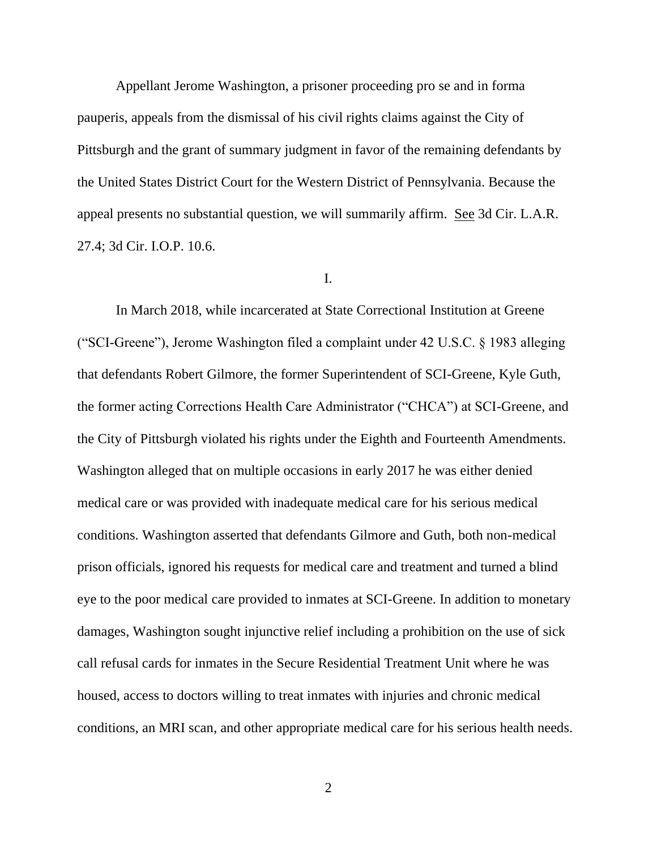Appellant Jerome Washington, a prisoner proceeding pro se and in forma pauperis, appeals from the dismissal of his civil rights claims against the City of Pittsburgh and the grant of summary judgment in favor of the remaining defendants by the United States District Court for the Western District of Pennsylvania. Because the appeal presents no substantial question, we will summarily affirm. See 3d Cir. L.A.R. 27.4; 3d Cir. I.O.P. 10.6.

### I.

In March 2018, while incarcerated at State Correctional Institution at Greene ("SCI-Greene"), Jerome Washington filed a complaint under 42 U.S.C. § 1983 alleging that defendants Robert Gilmore, the former Superintendent of SCI-Greene, Kyle Guth, the former acting Corrections Health Care Administrator ("CHCA") at SCI-Greene, and the City of Pittsburgh violated his rights under the Eighth and Fourteenth Amendments. Washington alleged that on multiple occasions in early 2017 he was either denied medical care or was provided with inadequate medical care for his serious medical conditions. Washington asserted that defendants Gilmore and Guth, both non-medical prison officials, ignored his requests for medical care and treatment and turned a blind eye to the poor medical care provided to inmates at SCI-Greene. In addition to monetary damages, Washington sought injunctive relief including a prohibition on the use of sick call refusal cards for inmates in the Secure Residential Treatment Unit where he was housed, access to doctors willing to treat inmates with injuries and chronic medical conditions, an MRI scan, and other appropriate medical care for his serious health needs.

2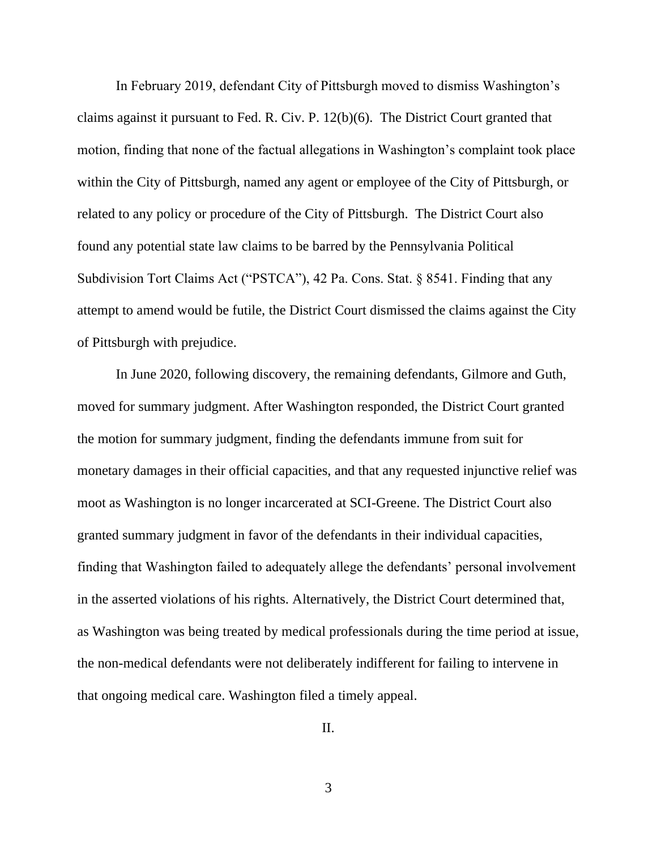In February 2019, defendant City of Pittsburgh moved to dismiss Washington's claims against it pursuant to Fed. R. Civ. P. 12(b)(6). The District Court granted that motion, finding that none of the factual allegations in Washington's complaint took place within the City of Pittsburgh, named any agent or employee of the City of Pittsburgh, or related to any policy or procedure of the City of Pittsburgh. The District Court also found any potential state law claims to be barred by the Pennsylvania Political Subdivision Tort Claims Act ("PSTCA"), 42 Pa. Cons. Stat. § 8541. Finding that any attempt to amend would be futile, the District Court dismissed the claims against the City of Pittsburgh with prejudice.

In June 2020, following discovery, the remaining defendants, Gilmore and Guth, moved for summary judgment. After Washington responded, the District Court granted the motion for summary judgment, finding the defendants immune from suit for monetary damages in their official capacities, and that any requested injunctive relief was moot as Washington is no longer incarcerated at SCI-Greene. The District Court also granted summary judgment in favor of the defendants in their individual capacities, finding that Washington failed to adequately allege the defendants' personal involvement in the asserted violations of his rights. Alternatively, the District Court determined that, as Washington was being treated by medical professionals during the time period at issue, the non-medical defendants were not deliberately indifferent for failing to intervene in that ongoing medical care. Washington filed a timely appeal.

II.

3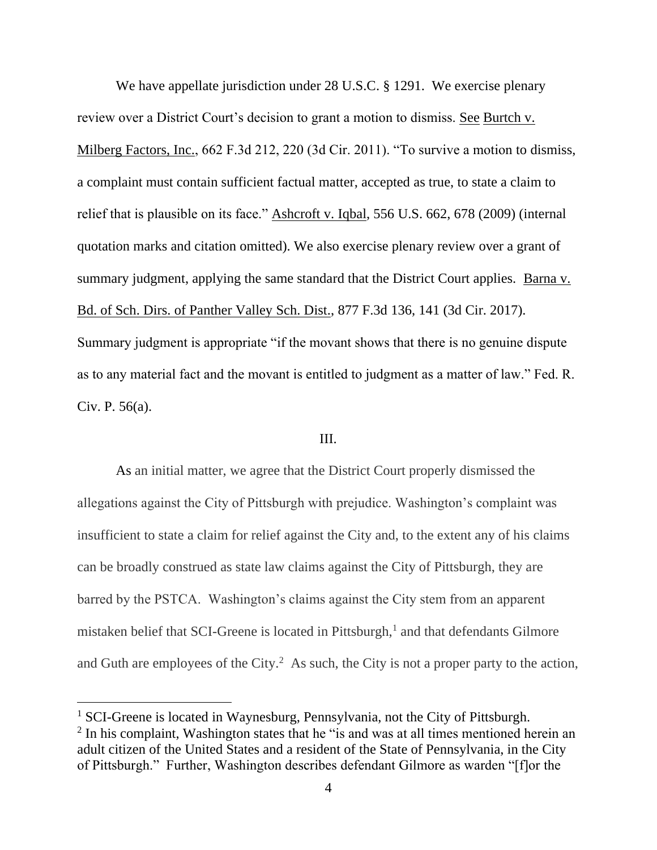We have appellate jurisdiction under 28 U.S.C. § 1291. We exercise plenary review over a District Court's decision to grant a motion to dismiss. See Burtch v. Milberg Factors, Inc., 662 F.3d 212, 220 (3d Cir. 2011). "To survive a motion to dismiss, a complaint must contain sufficient factual matter, accepted as true, to state a claim to relief that is plausible on its face." Ashcroft v. Iqbal, 556 U.S. 662, 678 (2009) (internal quotation marks and citation omitted). We also exercise plenary review over a grant of summary judgment, applying the same standard that the District Court applies. Barna v. Bd. of Sch. Dirs. of Panther Valley Sch. Dist., 877 F.3d 136, 141 (3d Cir. 2017). Summary judgment is appropriate "if the movant shows that there is no genuine dispute as to any material fact and the movant is entitled to judgment as a matter of law." Fed. R. Civ. P. 56(a).

#### III.

As an initial matter, we agree that the District Court properly dismissed the allegations against the City of Pittsburgh with prejudice. Washington's complaint was insufficient to state a claim for relief against the City and, to the extent any of his claims can be broadly construed as state law claims against the City of Pittsburgh, they are barred by the PSTCA. Washington's claims against the City stem from an apparent mistaken belief that SCI-Greene is located in Pittsburgh,<sup>1</sup> and that defendants Gilmore and Guth are employees of the City. $^2$  As such, the City is not a proper party to the action,

<sup>&</sup>lt;sup>1</sup> SCI-Greene is located in Waynesburg, Pennsylvania, not the City of Pittsburgh. <sup>2</sup> In his complaint, Washington states that he "is and was at all times mentioned herein an adult citizen of the United States and a resident of the State of Pennsylvania, in the City of Pittsburgh." Further, Washington describes defendant Gilmore as warden "[f]or the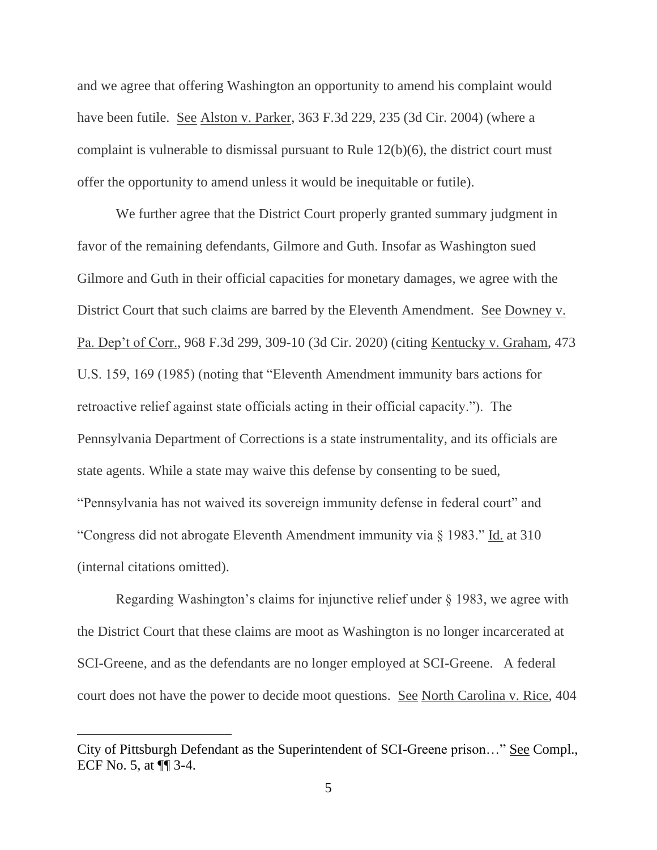and we agree that offering Washington an opportunity to amend his complaint would have been futile. See Alston v. Parker, 363 F.3d 229, 235 (3d Cir. 2004) (where a complaint is vulnerable to dismissal pursuant to Rule 12(b)(6), the district court must offer the opportunity to amend unless it would be inequitable or futile).

We further agree that the District Court properly granted summary judgment in favor of the remaining defendants, Gilmore and Guth. Insofar as Washington sued Gilmore and Guth in their official capacities for monetary damages, we agree with the District Court that such claims are barred by the Eleventh Amendment. See Downey v. Pa. Dep't of Corr., 968 F.3d 299, 309-10 (3d Cir. 2020) (citing Kentucky v. Graham, 473 U.S. 159, 169 (1985) (noting that "Eleventh Amendment immunity bars actions for retroactive relief against state officials acting in their official capacity."). The Pennsylvania Department of Corrections is a state instrumentality, and its officials are state agents. While a state may waive this defense by consenting to be sued, "Pennsylvania has not waived its sovereign immunity defense in federal court" and "Congress did not abrogate Eleventh Amendment immunity via § 1983." Id. at 310 (internal citations omitted).

Regarding Washington's claims for injunctive relief under § 1983, we agree with the District Court that these claims are moot as Washington is no longer incarcerated at SCI-Greene, and as the defendants are no longer employed at SCI-Greene. A federal court does not have the power to decide moot questions. See North Carolina v. Rice, 404

City of Pittsburgh Defendant as the Superintendent of SCI-Greene prison…" See Compl., ECF No. 5, at ¶¶ 3-4.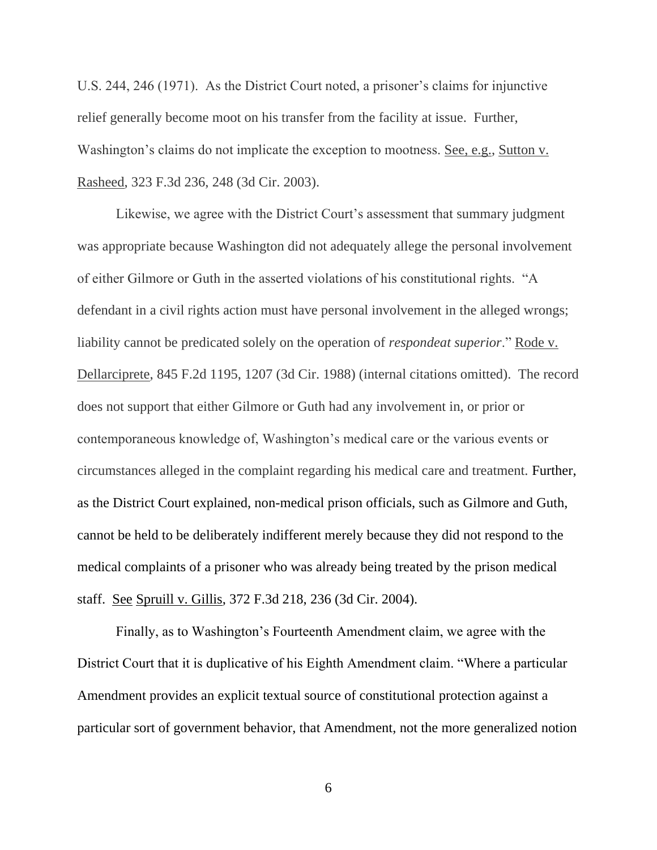U.S. 244, 246 (1971). As the District Court noted, a prisoner's claims for injunctive relief generally become moot on his transfer from the facility at issue. Further, Washington's claims do not implicate the exception to mootness. See, e.g., Sutton v. Rasheed, 323 F.3d 236, 248 (3d Cir. 2003).

Likewise, we agree with the District Court's assessment that summary judgment was appropriate because Washington did not adequately allege the personal involvement of either Gilmore or Guth in the asserted violations of his constitutional rights. "A defendant in a civil rights action must have personal involvement in the alleged wrongs; liability cannot be predicated solely on the operation of *respondeat superior*." Rode v. Dellarciprete, 845 F.2d 1195, 1207 (3d Cir. 1988) (internal citations omitted). The record does not support that either Gilmore or Guth had any involvement in, or prior or contemporaneous knowledge of, Washington's medical care or the various events or circumstances alleged in the complaint regarding his medical care and treatment. Further, as the District Court explained, non-medical prison officials, such as Gilmore and Guth, cannot be held to be deliberately indifferent merely because they did not respond to the medical complaints of a prisoner who was already being treated by the prison medical staff. See Spruill v. Gillis, 372 F.3d 218, 236 (3d Cir. 2004).

Finally, as to Washington's Fourteenth Amendment claim, we agree with the District Court that it is duplicative of his Eighth Amendment claim. "Where a particular Amendment provides an explicit textual source of constitutional protection against a particular sort of government behavior, that Amendment, not the more generalized notion

6